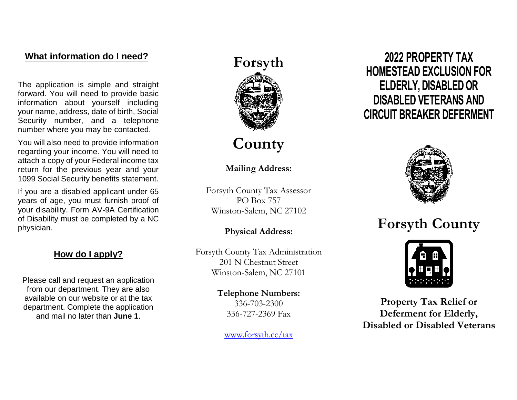## **What information do I need?**

The application is simple and straight forward. You will need to provide basic information about yourself including your name, address, date of birth, Social Security number, and a telephone number where you may be contacted.

You will also need to provide information regarding your income. You will need to attach a copy of your Federal income tax return for the previous year and your 1099 Social Security benefits statement.

If you are a disabled applicant under 65 years of age, you must furnish proof of your disability. Form AV-9A Certification of Disability must be completed by a NC physician.

#### **How do I apply?**

Please call and request an application from our department. They are also available on our website or at the tax department. Complete the application and mail no later than **June 1**.



## **County**

#### **Mailing Address:**

Forsyth County Tax Assessor PO Box 757 Winston-Salem, NC 27102

#### **Physical Address:**

Forsyth County Tax Administration 201 N Chestnut Street Winston-Salem, NC 27101

> **Telephone Numbers:** 336-703-2300 336-727-2369 Fax

[www.forsyth.cc/tax](http://www.forsyth.cc/tax)

**2022 PROPERTY TAX HOMESTEAD EXCLUSION FOR ELDERLY, DISABLED OR DISABLED VETERANS AND CIRCUIT BREAKER DEFERMENT**



# **Forsyth County**



**Property Tax Relief or Deferment for Elderly, Disabled or Disabled Veterans**